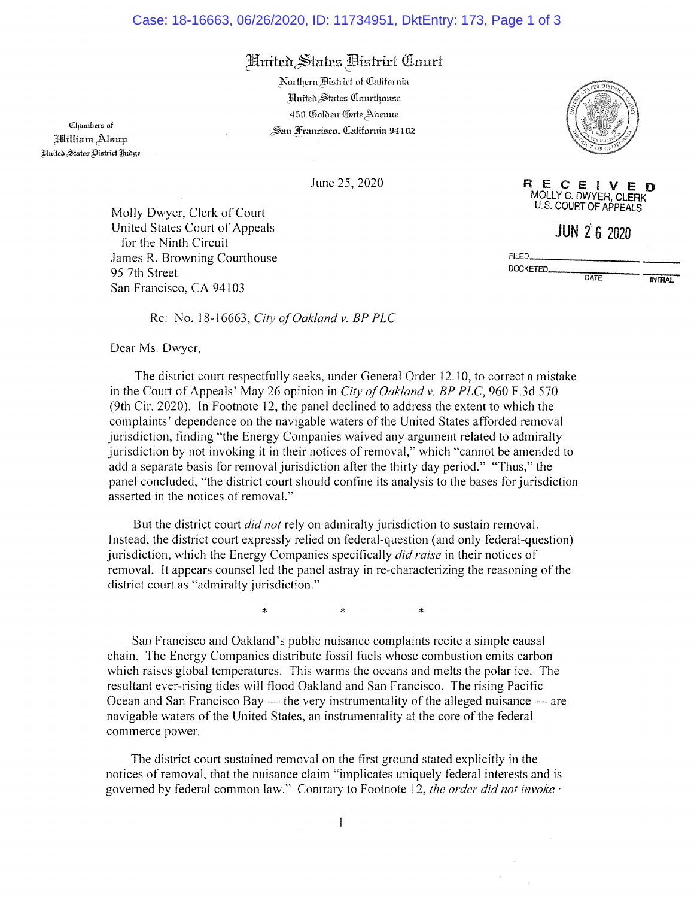## Case: 18-16663, 06/26/2020, ID: 11734951, DktEntry: 173, Page 1 of 3

## Hnited States Bistrict Court

Northern District of California Hnited States Courthouse 450 Golden Gate Abenue San Francisco, California 94102

**Chambers** of William Alsup *Hnited States Bistrict Judge* 

June 25, 2020

Molly Dwyer, Clerk of Court United States Court of Appeals for the Ninth Circuit James R. Browning Courthouse 95 7th Street San Francisco, CA 94103

Re: No. 18-16663, City of Oakland v. BP PLC

Dear Ms. Dwyer,

The district court respectfully seeks, under General Order 12.10, to correct a mistake in the Court of Appeals' May 26 opinion in City of Oakland v. BP PLC, 960 F.3d 570 (9th Cir. 2020). In Footnote 12, the panel declined to address the extent to which the complaints' dependence on the navigable waters of the United States afforded removal jurisdiction, finding "the Energy Companies waived any argument related to admiralty jurisdiction by not invoking it in their notices of removal," which "cannot be amended to add a separate basis for removal jurisdiction after the thirty day period." "Thus," the panel concluded, "the district court should confine its analysis to the bases for jurisdiction asserted in the notices of removal."

But the district court *did not* rely on admiralty jurisdiction to sustain removal. Instead, the district court expressly relied on federal-question (and only federal-question) jurisdiction, which the Energy Companies specifically *did raise* in their notices of removal. It appears counsel led the panel astray in re-characterizing the reasoning of the district court as "admiralty jurisdiction."

> $\star$  $\ast$

 $\star$ 

San Francisco and Oakland's public nuisance complaints recite a simple causal chain. The Energy Companies distribute fossil fuels whose combustion emits carbon which raises global temperatures. This warms the oceans and melts the polar ice. The resultant ever-rising tides will flood Oakland and San Francisco. The rising Pacific Ocean and San Francisco Bay — the very instrumentality of the alleged nuisance — are navigable waters of the United States, an instrumentality at the core of the federal commerce power.

The district court sustained removal on the first ground stated explicitly in the notices of removal, that the nuisance claim "implicates uniquely federal interests and is governed by federal common law." Contrary to Footnote 12, the order did not invoke ·



RECEIVEI - n U.S. COURT OF APPEALS

 $JUN 26 2020$ 

DATE

DOCKETED.

FILED.

**INITIAL**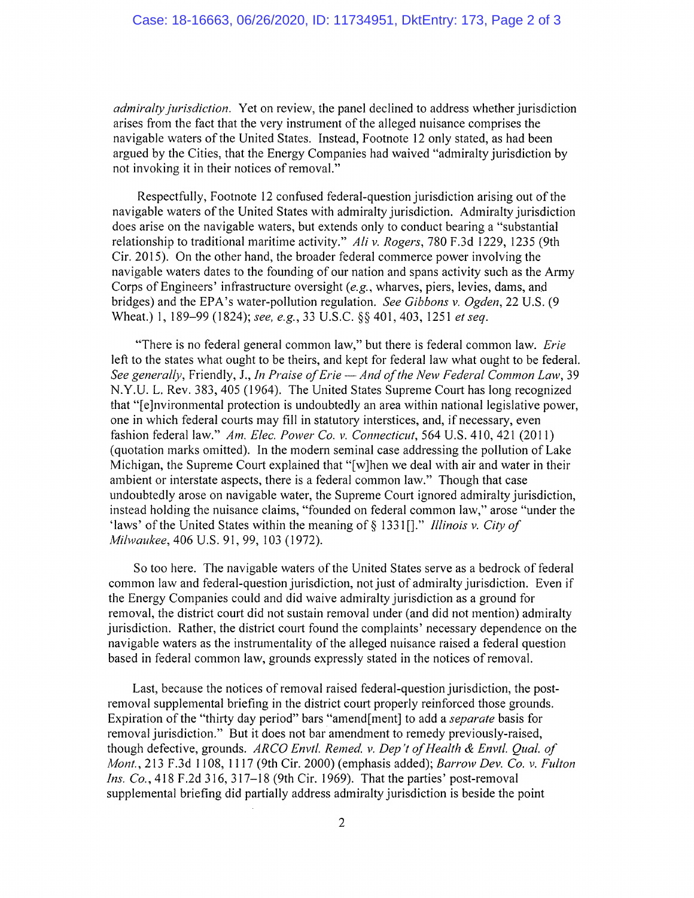*admiralty jurisdiction.* Yet on review, the panel declined to address whether jurisdiction arises from the fact that the very instrument of the alleged nuisance comprises the navigable waters of the United States. Instead, Footnote 12 only stated, as had been argued by the Cities, that the Energy Companies had waived "admiralty jurisdiction by not invoking it in their notices of removal."

Respectfully, Footnote 12 confused federal-question jurisdiction arising out of the navigable waters of the United States with admiralty jurisdiction. Admiralty jurisdiction does arise on the navigable waters, but extends only to conduct bearing a "substantial relationship to traditional maritime activity." *Ali v. Rogers,* 780 F.3d 1229, 1235 (9th Cir. 2015). On the other hand, the broader federal commerce power involving the navigable waters dates to the founding of our nation and spans activity such as the Army Corps of Engineers' infrastructure oversight *(e.g.,* wharves, piers, levies, dams, and bridges) and the EPA's water-pollution regulation. *See Gibbons v. Ogden,* 22 U.S. (9 Wheat.) 1, 189-99 (1824); *see, e.g., 33* U.S.C. §§ 401, 403, 1251 *et seq.* 

"There is no federal general common law," but there is federal common law. *Erie*  left to the states what ought to be theirs, and kept for federal law what ought to be federal. *See generally,* Friendly, *J., In Praise of Erie — And of the New Federal Common Law,* 39 N.Y.U. L. Rev. 383, 405 (1964). The United States Supreme Court has long recognized that "[e]nvironmental protection is undoubtedly an area within national legislative power, one in which federal courts may fill in statutory interstices, and, if necessary, even fashion federal law." *Am. Elec. Power Co. v. Connecticut,* 564 U.S. 410, 421 (2011) (quotation marks omitted). In the modern seminal case addressing the pollution of Lake Michigan, the Supreme Court explained that "[w]hen we deal with air and water in their ambient or interstate aspects, there is a federal common law." Though that case undoubtedly arose on navigable water, the Supreme Court ignored admiralty jurisdiction, instead holding the nuisance claims, "founded on federal common law," arose "under the `laws' of the United States within the meaning of § 1331 []." *Illinois v. City of Milwaukee,* 406 U.S. 91, 99, 103 (1972).

So too here. The navigable waters of the United States serve as a bedrock of federal common law and federal-question jurisdiction, not just of admiralty jurisdiction. Even if the Energy Companies could and did waive admiralty jurisdiction as a ground for removal, the district court did not sustain removal under (and did not mention) admiralty jurisdiction. Rather, the district court found the complaints' necessary dependence on the navigable waters as the instrumentality of the alleged nuisance raised a federal question based in federal common law, grounds expressly stated in the notices of removal.

Last, because the notices of removal raised federal-question jurisdiction, the postremoval supplemental briefing in the district court properly reinforced those grounds. Expiration of the "thirty day period" bars "amend[ment] to add *a separate* basis for removal jurisdiction." But it does not bar amendment to remedy previously-raised, though defective, grounds. *ARCO Envil. Remed. v. Dep't of Health & Envtl. Qual. of Mont.,* 213 F.3d 1108, 1117 (9th Cir. 2000) (emphasis added); *Barrow Dev. Co. v. Fulton Ins. Co.,* 418 F.2d 316, 317-18 (9th Cir. 1969). That the parties' post-removal supplemental briefing did partially address admiralty jurisdiction is beside the point